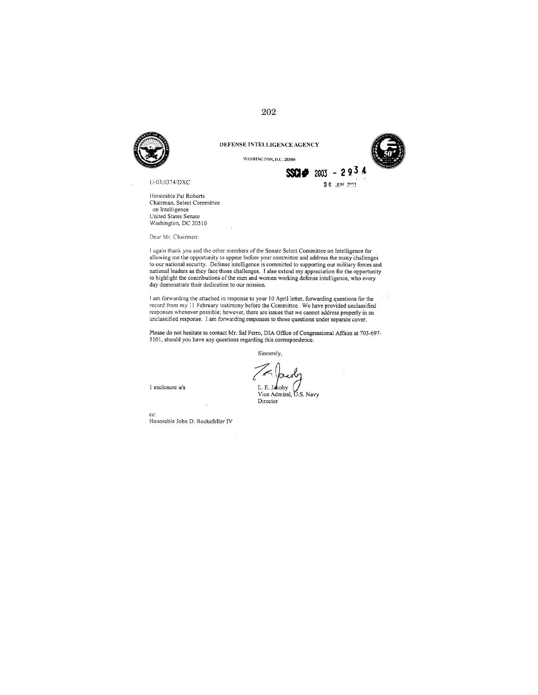

U-03,0374/DXC

Honorable Pat Roberts Chairman, Select Committee on Intelligence United States Senate Washington, DC 20510

Dear Mr. Chairman:

I again thank you and the other members of the Senate Select Committee on Intelligence for allowing me the opportunity to appear before your committee and address the many challenges to our national security. Defense intelligence is committed to supporting our military forces and national leaders as they face those challenges. I also extend my appreciation for the opportunity to highlight the contributions of the men and women working defense intelligence, who every day demonstrate their dedication to our mission.

I am forwarding the attached in response to your 10 April letter, forwarding questions for the record from my 11 February testimony before the Committee. We have provided unclassified responses whenever possible, however, there are issues that we cannot address properly in an unclassified response. I am forwarding responses to those questions under separate cover.

Please do not hesitate to contact Mr. Sal Ferro, DIA Office of Congressional Affairs at 703-697-5101, should you have any questions regarding this correspondence.

Sincerely,

1 enclosure a/s

L. E. Jacoby Vice Admiral, U.S. Navy Director

 $cc$ : Honorable John D. Rockefeller IV

## $\,202$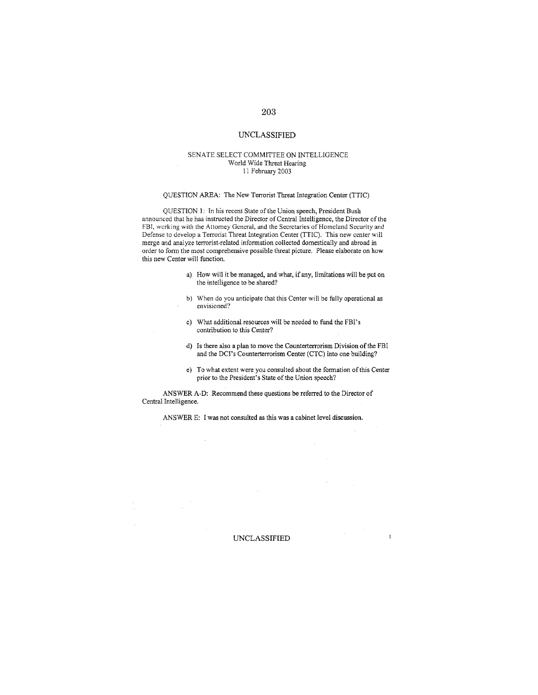#### SENATE SELECT COMMITTEE ON INTELLIGENCE World Wide Threat Hearing 11 February 2003

#### OUESTION AREA: The New Terrorist Threat Integration Center (TTIC)

QUESTION 1: In his recent State of the Union speech, President Bush announced that he has instructed the Director of Central Intelligence, the Director of the FBI, working with the Attorney General, and the Secretaries of Homeland Security and Defense to develop a Terrorist Threat Integration Center (TTIC). This new center will merge and analyze terrorist-related information collected domestically and abroad in order to form the most comprehensive possible threat picture. Please elaborate on how this new Center will function.

- a) How will it be managed, and what, if any, limitations will be put on the intelligence to be shared?
- b) When do you anticipate that this Center will be fully operational as envisioned?
- c) What additional resources will be needed to fund the FBI's contribution to this Center?
- d) Is there also a plan to move the Counterterrorism Division of the FBI and the DCI's Counterterrorism Center (CTC) into one building?
- e) To what extent were you consulted about the formation of this Center prior to the President's State of the Union speech?

ANSWER A-D: Recommend these questions be referred to the Director of Central Intelligence.

 $\mathcal{L}$ 

ANSWER E: I was not consulted as this was a cabinet level discussion.

**UNCLASSIFIED** 

 $\mathbf{1}$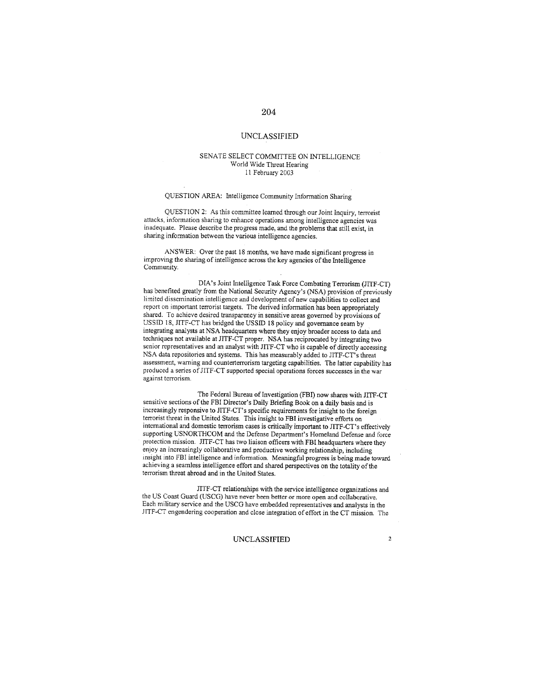#### SENATE SELECT COMMITTEE ON INTELLIGENCE World Wide Threat Hearing 11 February 2003

## QUESTION AREA: Intelligence Community Information Sharing

QUESTION 2: As this committee learned through our Joint Inquiry, terrorist attacks, information sharing to enhance operations among intelligence agencies was inadequate. Please describe the progress made, and the problems that still exist, in sharing information between the various intelligence agencies.

ANSWER: Over the past 18 months, we have made significant progress in improving the sharing of intelligence across the key agencies of the Intelligence Community.

DIA's Joint Intelligence Task Force Combating Terrorism (JITF-CT) has benefited greatly from the National Security Agency's (NSA) provision of previously limited dissemination intelligence and development of new capabilities to collect and report on important terrorist targets. The derived information has been appropriately shared. To achieve desired transparency in sensitive areas governed by provisions of USSID 18, JITF-CT has bridged the USSID 18 policy and governance seam by integrating analysts at NSA headquarters where they enjoy broader access to data and techniques not available at JITF-CT proper. NSA has reciprocated by integrating two senior representatives and an analyst with JITF-CT who is capable of directly accessing NSA data repositories and systems. This has measurably added to JITF-CT's threat assessment, warning and counterterrorism targeting capabilities. The latter capability has produced a series of JITF-CT supported special operations forces successes in the war against terrorism.

The Federal Bureau of Investigation (FBI) now shares with JITF-CT sensitive sections of the FBI Director's Daily Briefing Book on a daily basis and is increasingly responsive to JITF-CT's specific requirements for insight to the foreign terrorist threat in the United States. This insight to FBI investigative efforts on international and domestic terrorism cases is critically important to JITF-CT's effectively supporting USNORTHCOM and the Defense Department's Homeland Defense and force protection mission. JITF-CT has two liaison officers with FBI headquarters where they enjoy an increasingly collaborative and productive working relationship, including insight into FBI intelligence and information. Meaningful progress is being made toward achieving a seamless intelligence effort and shared perspectives on the totality of the terrorism threat abroad and in the United States.

JITF-CT relationships with the service intelligence organizations and the US Coast Guard (USCG) have never been better or more open and collaborative. Each military service and the USCG have embedded representatives and analysts in the JITF-CT engendering cooperation and close integration of effort in the CT mission. The

#### UNCLASSIFIED

204

 $\overline{2}$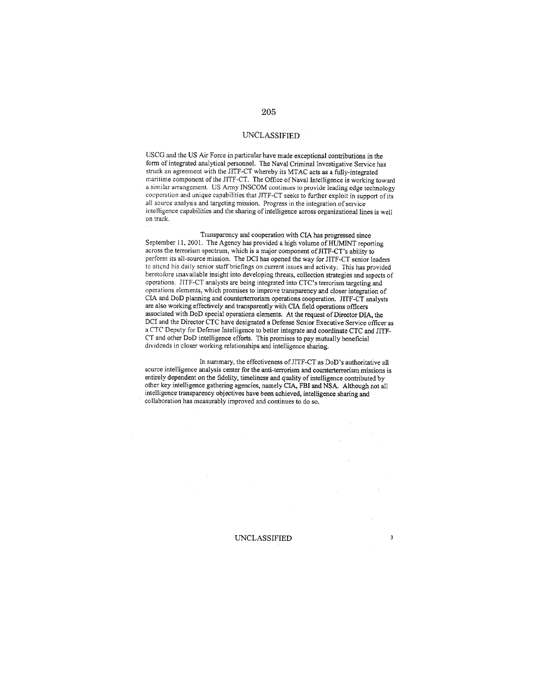USCG and the US Air Force in particular have made exceptional contributions in the form of integrated analytical personnel. The Naval Criminal Investigative Service has struck an agreement with the JITF-CT whereby its MTAC acts as a fully-integrated maritime component of the JITF-CT. The Office of Naval Intelligence is working toward a similar arrangement. US Army INSCOM continues to provide leading edge technology cooperation and unique capabilities that JITF-CT seeks to further exploit in support of its all source analysis and targeting mission. Progress in the integration of service intelligence capabilities and the sharing of intelligence across organizational lines is well on track.

Transparency and cooperation with CIA has progressed since September 11, 2001. The Agency has provided a high volume of HUMINT reporting across the terrorism spectrum, which is a major component of JITF-CT's ability to perform its all-source mission. The DCI has opened the way for JITF-CT senior leaders to attend his daily senior staff briefings on current issues and activity. This has provided heretofore unavailable insight into developing threats, collection strategies and aspects of operations. JITF-CT analysts are being integrated into CTC's terrorism targeting and operations elements, which promises to improve transparency and closer integration of CIA and DoD planning and counterterrorism operations cooperation. JITF-CT analysts are also working effectively and transparently with CIA field operations officers associated with DoD special operations elements. At the request of Director DIA, the DCI and the Director CTC have designated a Defense Senior Executive Service officer as a CTC Deputy for Defense Intelligence to better integrate and coordinate CTC and JITF-CT and other DoD intelligence efforts. This promises to pay mutually beneficial dividends in closer working relationships and intelligence sharing.

In summary, the effectiveness of JITF-CT as DoD's authoritative all source intelligence analysis center for the anti-terrorism and counterterrorism missions is entirely dependent on the fidelity, timeliness and quality of intelligence contributed by other key intelligence gathering agencies, namely CIA, FBI and NSA. Although not all intelligence transparency objectives have been achieved, intelligence sharing and collaboration has measurably improved and continues to do so.

#### **UNCLASSIFIED**

 $\mathbf 3$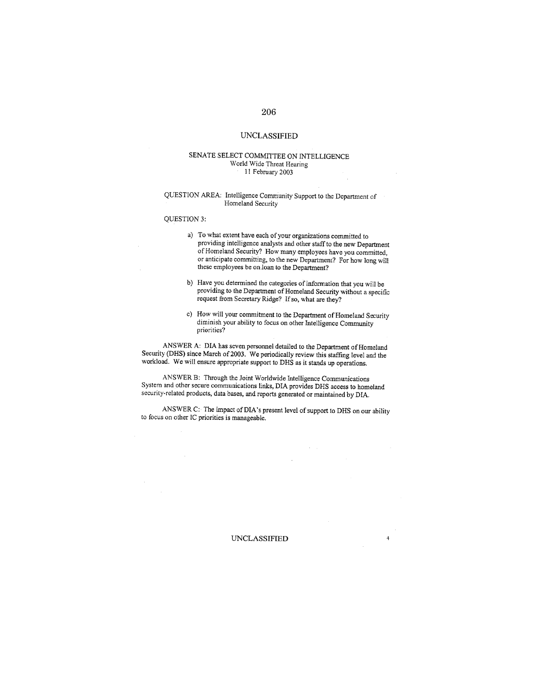## **UNCLASSIFIED**

#### SENATE SELECT COMMITTEE ON INTELLIGENCE World Wide Threat Hearing 11 February 2003

#### QUESTION AREA: Intelligence Community Support to the Department of Homeland Security

#### QUESTION 3:

- a) To what extent have each of your organizations committed to providing intelligence analysts and other staff to the new Department of Homeland Security? How many employees have you committed, or anticipate committing, to the new Department? For how long will these employees be on loan to the Department?
- b) Have you determined the categories of information that you will be providing to the Department of Homeland Security without a specific request from Secretary Ridge? If so, what are they?
- c) How will your commitment to the Department of Homeland Security diminish your ability to focus on other Intelligence Community priorities?

 $\mathcal{L}^{\text{eff}}$ 

 $\overline{4}$ 

 $\mathcal{L}$ 

ANSWER A: DIA has seven personnel detailed to the Department of Homeland Security (DHS) since March of 2003. We periodically review this staffing level and the workload. We will ensure appropriate support to DHS as it stands up operations.

ANSWER B: Through the Joint Worldwide Intelligence Communications System and other secure communications links, DIA provides DHS access to homeland security-related products, data bases, and reports generated or maintained by DIA.

ANSWER C: The impact of DIA's present level of support to DHS on our ability to focus on other IC priorities is manageable.

**UNCLASSIFIED**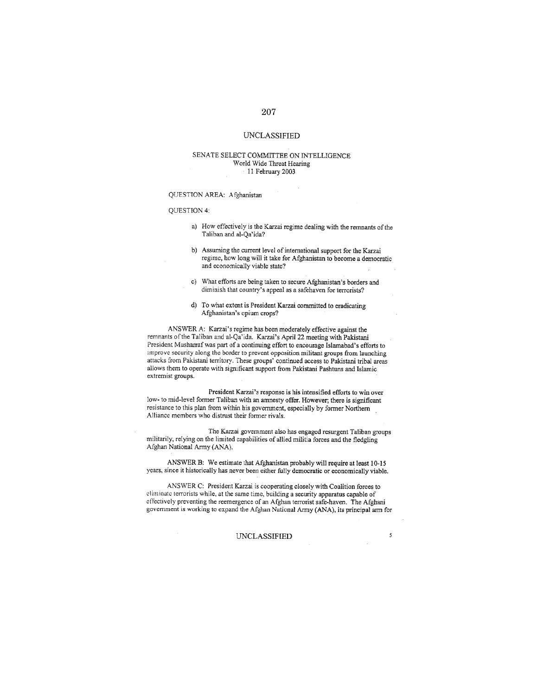## **UNCLASSIFIED**

#### SENATE SELECT COMMITTEE ON INTELLIGENCE World Wide Threat Hearing 11 February 2003

#### QUESTION AREA: Afghanistan

#### QUESTION 4:

- a) How effectively is the Karzai regime dealing with the remnants of the Taliban and al-Qa'ida?
- b) Assuming the current level of international support for the Karzai regime, how long will it take for Afghanistan to become a democratic and economically viable state?
- c) What efforts are being taken to secure Afghanistan's borders and diminish that country's appeal as a safehaven for terrorists?
- d) To what extent is President Karzai committed to eradicating Afghanistan's opium crops?

ANSWER A: Karzai's regime has been moderately effective against the remnants of the Taliban and al-Qa'ida. Karzai's April 22 meeting with Pakistani President Musharraf was part of a continuing effort to encourage Islamabad's efforts to improve security along the border to prevent opposition militant groups from launching attacks from Pakistani territory. These groups' continued access to Pakistani tribal areas allows them to operate with significant support from Pakistani Pashtuns and Islamic extremist groups.

President Karzai's response is his intensified efforts to win over low- to mid-level former Taliban with an amnesty offer. However; there is significant resistance to this plan from within his government, especially by former Northern Alliance members who distrust their former rivals.

The Karzai government also has engaged resurgent Taliban groups militarily, relying on the limited capabilities of allied militia forces and the fledgling Afghan National Army (ANA).

ANSWER B: We estimate that Afghanistan probably will require at least 10-15 years, since it historically has never been either fully democratic or economically viable.

ANSWER C: President Karzai is cooperating closely with Coalition forces to climinate terrorists while, at the same time, building a security apparatus capable of effectively preventing the reemergence of an Afghan terrorist safe-haven. The Afghani government is working to expand the Afghan National Army (ANA), its principal arm for

## **UNCLASSIFIED**

 $\mathfrak{s}$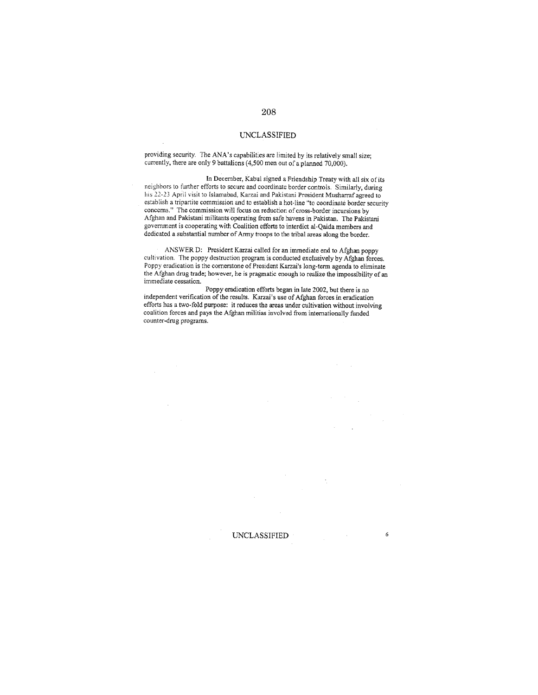providing security. The ANA's capabilities are limited by its relatively small size; currently, there are only 9 battalions (4,500 men out of a planned 70,000).

In December, Kabul signed a Friendship Treaty with all six of its neighbors to further efforts to secure and coordinate border controls. Similarly, during his 22-23 April visit to Islamabad, Karzai and Pakistani President Musharraf agreed to establish a tripartite commission and to establish a hot-line "to coordinate border security concerns." The commission will focus on reduction of cross-border incursions by Afghan and Pakistani militants operating from safe havens in Pakistan. The Pakistani government is cooperating with Coalition efforts to interdict al-Qaida members and dedicated a substantial number of Army troops to the tribal areas along the border.

ANSWER D: President Karzai called for an immediate end to Afghan poppy cultivation. The poppy destruction program is conducted exclusively by Afghan forces. Poppy eradication is the cornerstone of President Karzai's long-term agenda to eliminate the Afghan drug trade; however, he is pragmatic enough to realize the impossibility of an immediate cessation.

Poppy eradication efforts began in late 2002, but there is no independent verification of the results. Karzai's use of Afghan forces in eradication efforts has a two-fold purpose: it reduces the areas under cultivation without involving coalition forces and pays the Afghan militias involved from internationally funded counter-drug programs.

**UNCLASSIFIED** 6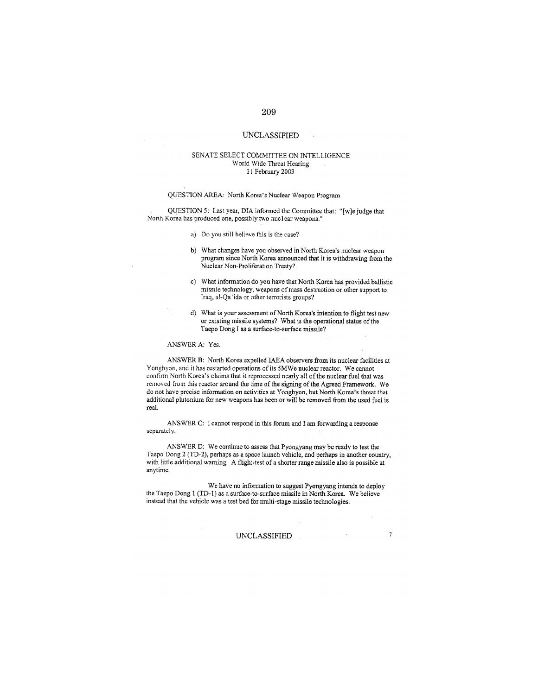#### **UNCLASSIFIED**

#### SENATE SELECT COMMITTEE ON INTELLIGENCE World Wide Threat Hearing 11 February 2003

#### QUESTION AREA: North Korea's Nuclear Weapon Program

QUESTION 5: Last year, DIA informed the Committee that: "[w]e judge that North Korea has produced one, possibly two nuclear weapons."

- a) Do you still believe this is the case?
- b) What changes have you observed in North Korea's nuclear weapon program since North Korea announced that it is withdrawing from the Nuclear Non-Proliferation Treaty?
- c) What information do you have that North Korea has provided ballistic missile technology, weapons of mass destruction or other support to Iraq, al-Qa 'ida or other terrorists groups?
- d) What is your assessment of North Korea's intention to flight test new or existing missile systems? What is the operational status of the Taepo Dong I as a surface-to-surface missile?

#### ANSWER A: Yes.

ANSWER B: North Korea expelled IAEA observers from its nuclear facilities at Yongbyon, and it has restarted operations of its 5MWe nuclear reactor. We cannot confirm North Korea's claims that it reprocessed nearly all of the nuclear fuel that was removed from this reactor around the time of the signing of the Agreed Framework. We do not have precise information on activities at Yongbyon, but North Korea's threat that additional plutonium for new weapons has been or will be removed from the used fuel is real.

ANSWER C: I cannot respond in this forum and I am forwarding a response separately.

ANSWER D: We continue to assess that Pyongyang may be ready to test the Taepo Dong 2 (TD-2), perhaps as a space launch vehicle, and perhaps in another country, with little additional warning. A flight-test of a shorter range missile also is possible at anytime.

We have no information to suggest Pyongyang intends to deploy the Taepo Dong 1 (TD-1) as a surface-to-surface missile in North Korea. We believe instead that the vehicle was a test bed for multi-stage missile technologies.

#### **UNCLASSIFIED**

 $\gamma$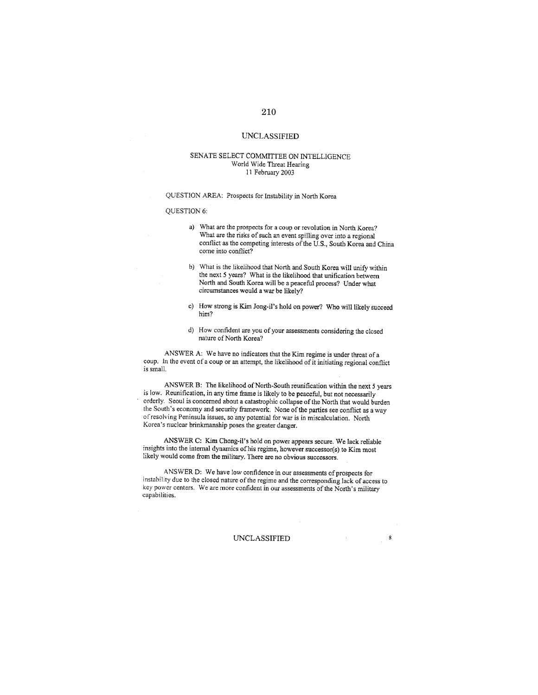## **UNCLASSIFIED**

#### SENATE SELECT COMMITTEE ON INTELLIGENCE World Wide Threat Hearing 11 February 2003

QUESTION AREA: Prospects for Instability in North Korea

#### QUESTION 6:

- a) What are the prospects for a coup or revolution in North Korea? What are the risks of such an event spilling over into a regional conflict as the competing interests of the U.S., South Korea and China come into conflict?
- b) What is the likelihood that North and South Korea will unify within the next 5 years? What is the likelihood that unification between North and South Korea will be a peaceful process? Under what circumstances would a war be likely?
- c) How strong is Kim Jong-il's hold on power? Who will likely succeed him?
- d) How confident are you of your assessments considering the closed nature of North Korea?

ANSWER A: We have no indicators that the Kim regime is under threat of a coup. In the event of a coup or an attempt, the likelihood of it initiating regional conflict is small.

ANSWER B: The likelihood of North-South reunification within the next 5 years is low. Reunification, in any time frame is likely to be peaceful, but not necessarily orderly. Seoul is concerned about a catastrophic collapse of the North that would burden the South's economy and security framework. None of the parties see conflict as a way of resolving Peninsula issues, so any potential for war is in miscalculation. North Korea's nuclear brinkmanship poses the greater danger.

ANSWER C: Kim Chong-il's hold on power appears secure. We lack reliable insights into the internal dynamics of his regime, however successor(s) to Kim most likely would come from the military. There are no obvious successors.

ANSWER D: We have low confidence in our assessments of prospects for instability due to the closed nature of the regime and the corresponding lack of access to key power centers. We are more confident in our assessments of the North's military capabilities.

#### **UNCLASSIFIED**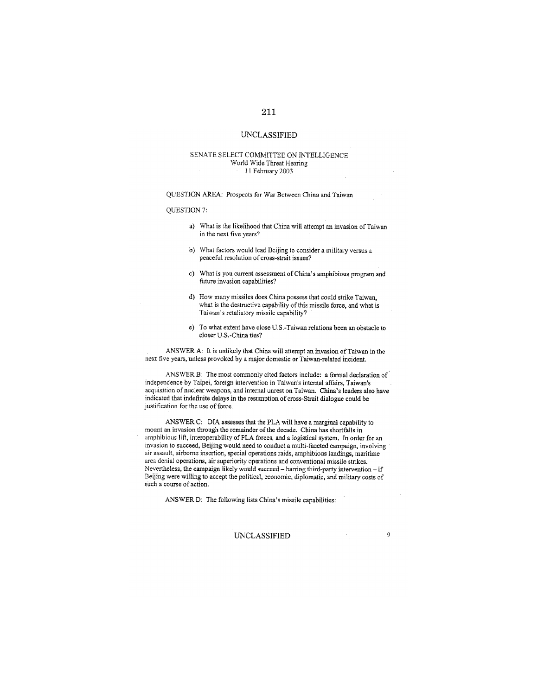#### SENATE SELECT COMMITTEE ON INTELLIGENCE World Wide Threat Hearing 11 February 2003

QUESTION AREA: Prospects for War Between China and Taiwan

#### **OUESTION 7:**

- a) What is the likelihood that China will attempt an invasion of Taiwan in the next five years?
- b) What factors would lead Beijing to consider a military versus a peaceful resolution of cross-strait issues?
- c) What is you current assessment of China's amphibious program and future invasion capabilities?
- d) How many missiles does China possess that could strike Taiwan. what is the destructive capability of this missile force, and what is Taiwan's retaliatory missile capability?
- e) To what extent have close U.S.-Taiwan relations been an obstacle to closer U.S.-China ties?

ANSWER A: It is unlikely that China will attempt an invasion of Taiwan in the next five years, unless provoked by a major domestic or Taiwan-related incident.

ANSWER B: The most commonly cited factors include: a formal declaration of independence by Taipei, foreign intervention in Taiwan's internal affairs, Taiwan's acquisition of nuclear weapons, and internal unrest on Taiwan. China's leaders also have indicated that indefinite delays in the resumption of cross-Strait dialogue could be justification for the use of force.

ANSWER C: DIA assesses that the PLA will have a marginal capability to mount an invasion through the remainder of the decade. China has shortfalls in amphibious lift, interoperability of PLA forces, and a logistical system. In order for an invasion to succeed, Beijing would need to conduct a multi-faceted campaign, involving air assault, airborne insertion, special operations raids, amphibious landings, maritime area denial operations, air superiority operations and conventional missile strikes, Nevertheless, the campaign likely would succeed - barring third-party intervention - if Beijing were willing to accept the political, economic, diplomatic, and military costs of such a course of action.

ANSWER D: The following lists China's missile capabilities:

## **UNCLASSIFIED**

 $\overline{9}$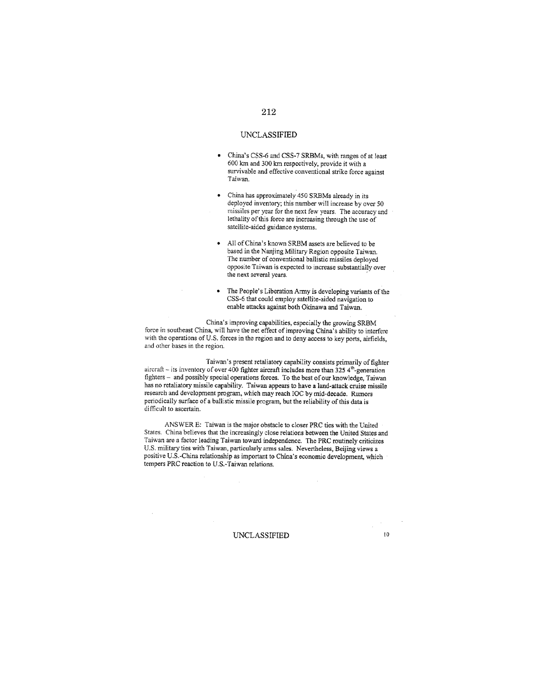- China's CSS-6 and CSS-7 SRBMs, with ranges of at least  $\bullet$ 600 km and 300 km respectively, provide it with a survivable and effective conventional strike force against Taiwan.
- China has approximately 450 SRBMs already in its  $\bullet$ deployed inventory; this number will increase by over 50 missiles per year for the next few years. The accuracy and lethality of this force are increasing through the use of satellite-aided guidance systems.
- All of China's known SRBM assets are believed to be based in the Nanjing Military Region opposite Taiwan. The number of conventional ballistic missiles deployed opposite Taiwan is expected to increase substantially over the next several years.
- The People's Liberation Army is developing variants of the  $\bullet$ CSS-6 that could employ satellite-aided navigation to enable attacks against both Okinawa and Taiwan.

China's improving capabilities, especially the growing SRBM force in southeast China, will have the net effect of improving China's ability to interfere with the operations of U.S. forces in the region and to deny access to key ports, airfields, and other bases in the region.

Taiwan's present retaliatory capability consists primarily of fighter aircraft - its inventory of over 400 fighter aircraft includes more than 325  $4^{\text{th}}$ -generation fighters - and possibly special operations forces. To the best of our knowledge, Taiwan has no retaliatory missile capability. Taiwan appears to have a land-attack cruise missile research and development program, which may reach IOC by mid-decade. Rumors periodically surface of a ballistic missile program, but the reliability of this data is difficult to ascertain.

ANSWER E: Taiwan is the major obstacle to closer PRC ties with the United States. China believes that the increasingly close relations between the United States and Taiwan are a factor leading Taiwan toward independence. The PRC routinely criticizes U.S. military ties with Taiwan, particularly arms sales. Nevertheless, Beijing views a positive U.S. China relationship as important to China's economic development, which tempers PRC reaction to U.S.-Taiwan relations.

**UNCLASSIFIED** 

 $10<sup>10</sup>$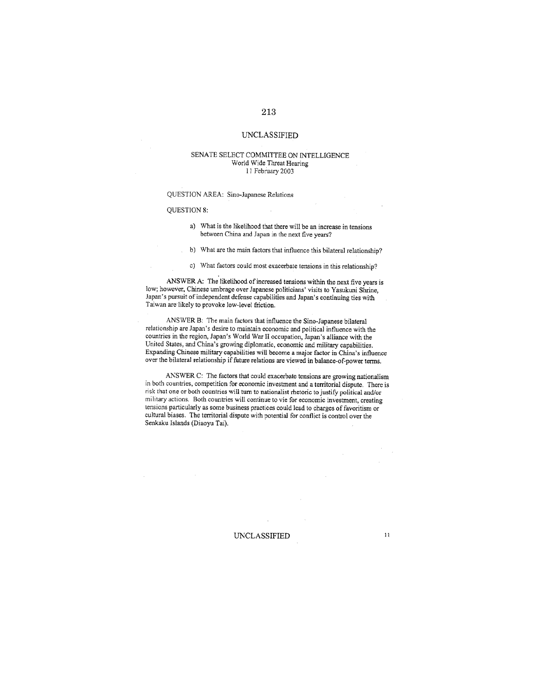#### SENATE SELECT COMMITTEE ON INTELLIGENCE World Wide Threat Hearing 11 February 2003

## QUESTION AREA: Sino-Japanese Relations

#### **OUESTION 8:**

- a) What is the likelihood that there will be an increase in tensions between China and Japan in the next five years?
- b) What are the main factors that influence this bilateral relationship?
- c) What factors could most exacerbate tensions in this relationship?

ANSWER A: The likelihood of increased tensions within the next five years is low; however, Chinese umbrage over Japanese politicians' visits to Yasukuni Shrine, Japan's pursuit of independent defense capabilities and Japan's continuing ties with Taiwan are likely to provoke low-level friction.

ANSWER B: The main factors that influence the Sino-Japanese bilateral relationship are Japan's desire to maintain economic and political influence with the countries in the region, Japan's World War II occupation, Japan's alliance with the United States, and China's growing diplomatic, economic and military capabilities. Expanding Chinese military capabilities will become a major factor in China's influence over the bilateral relationship if future relations are viewed in balance-of-power terms.

ANSWER C: The factors that could exacerbate tensions are growing nationalism in both countries, competition for economic investment and a territorial dispute. There is risk that one or both countries will turn to nationalist rhetoric to justify political and/or military actions. Both countries will continue to vie for economic investment, creating tensions particularly as some business practices could lead to charges of favoritism or cultural biases. The territorial dispute with potential for conflict is control over the Senkaku Islands (Diaoyu Tai).

UNCLASSIFIED

 $\bar{1}1$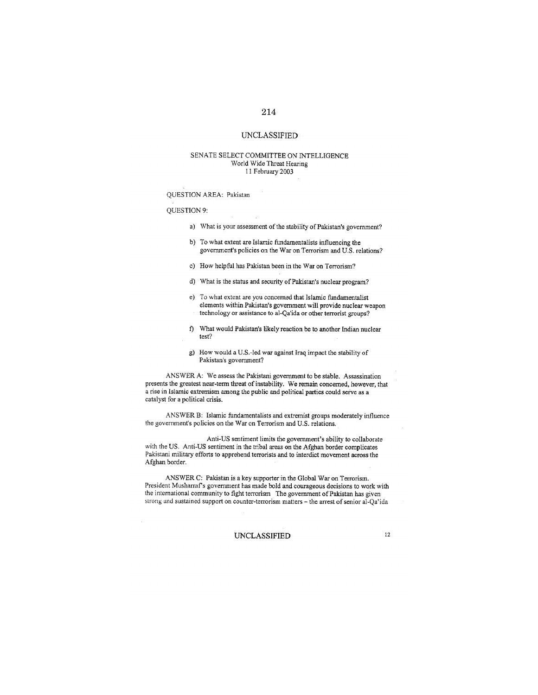## **UNCLASSIFIED**

#### SENATE SELECT COMMITTEE ON INTELLIGENCE World Wide Threat Hearing 11 February 2003

#### QUESTION AREA: Pakistan

#### QUESTION 9:

- a) What is your assessment of the stability of Pakistan's government?
- b) To what extent are Islamic fundamentalists influencing the government's policies on the War on Terrorism and U.S. relations?
- c) How helpful has Pakistan been in the War on Terrorism?
- d) What is the status and security of Pakistan's nuclear program?
- e) To what extent are you concerned that Islamic fundamentalist elements within Pakistan's government will provide nuclear weapon technology or assistance to al-Qa'ida or other terrorist groups?
- f) What would Pakistan's likely reaction be to another Indian nuclear test?
- g) How would a U.S.-led war against Iraq impact the stability of Pakistan's government?

ANSWER A: We assess the Pakistani government to be stable. Assassination presents the greatest near-term threat of instability. We remain concerned, however, that a rise in Islamic extremism among the public and political parties could serve as a catalyst for a political crisis.

ANSWER B: Islamic fundamentalists and extremist groups moderately influence the government's policies on the War on Terrorism and U.S. relations.

Anti-US sentiment limits the government's ability to collaborate with the US. Anti-US sentiment in the tribal areas on the Afghan border complicates Pakistani military efforts to apprehend terrorists and to interdict movement across the Afghan border.

ANSWER C: Pakistan is a key supporter in the Global War on Terrorism. President Musharraf's government has made bold and courageous decisions to work with the international community to fight terrorism The government of Pakistan has given strong and sustained support on counter-terrorism matters - the arrest of senior al-Qa'ida

## **UNCLASSIFIED**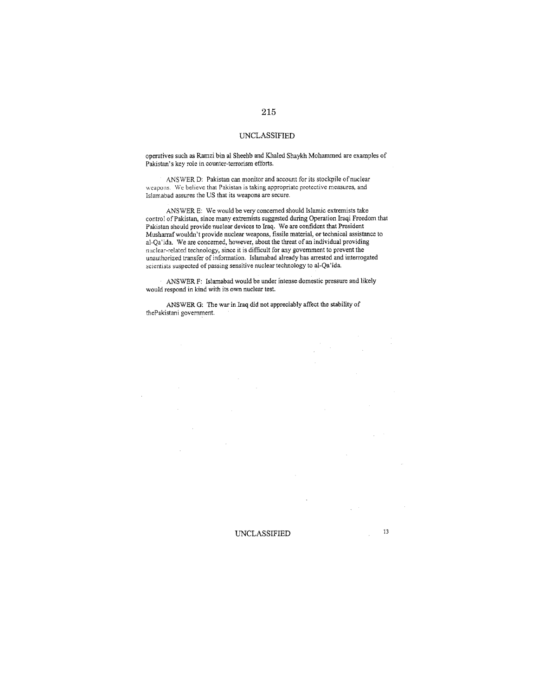operatives such as Ramzi bin al Sheehb and Khaled Shaykh Mohammed are examples of Pakistan's key role in counter-terrorism efforts.

ANSWER D: Pakistan can monitor and account for its stockpile of nuclear weapons. We believe that Pakistan is taking appropriate protective measures, and Islamabad assures the US that its weapons are secure.

ANSWER E: We would be very concerned should Islamic extremists take control of Pakistan, since many extremists suggested during Operation Iraqi Freedom that Pakistan should provide nuclear devices to Iraq. We are confident that President Musharraf wouldn't provide nuclear weapons, fissile material, or technical assistance to al-Qa'ida. We are concerned, however, about the threat of an individual providing nuclear-related technology, since it is difficult for any government to prevent the unauthorized transfer of information. Islamabad already has arrested and interrogated scientists suspected of passing sensitive nuclear technology to al-Qa'ida.

ANSWER F: Islamabad would be under intense domestic pressure and likely would respond in kind with its own nuclear test.

**UNCLASSIFIED** 

ANSWER G: The war in Iraq did not appreciably affect the stability of thePakistani government.

## 215

 $13\,$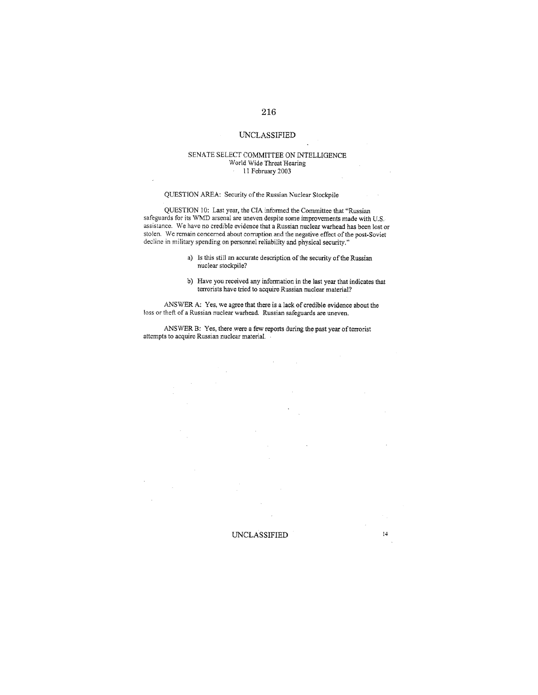#### SENATE SELECT COMMITTEE ON INTELLIGENCE World Wide Threat Hearing  $\cdot$  11 February 2003

#### QUESTION AREA: Security of the Russian Nuclear Stockpile

QUESTION 10: Last year, the CIA informed the Committee that "Russian safeguards for its WMD arsenal are uneven despite some improvements made with U.S. assistance. We have no credible evidence that a Russian nuclear warhead has been lost or stolen. We remain concerned about corruption and the negative effect of the post-Soviet decline in military spending on personnel reliability and physical security."

- a) Is this still an accurate description of the security of the Russian nuclear stockpile?
- b) Have you received any information in the last year that indicates that terrorists have tried to acquire Russian nuclear material?

ANSWER A: Yes, we agree that there is a lack of credible evidence about the loss or theft of a Russian nuclear warhead. Russian safeguards are uneven.

ANSWER B: Yes, there were a few reports during the past year of terrorist attempts to acquire Russian nuclear material.

#### UNCLASSIFIED

 $\mathcal{C}_{\mathcal{A}}$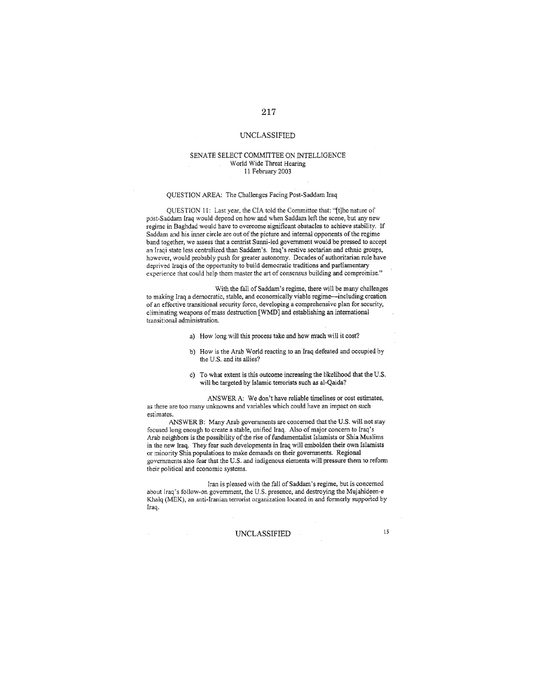#### SENATE SELECT COMMITTEE ON INTELLIGENCE World Wide Threat Hearing 11 February 2003

#### **OUESTION AREA: The Challenges Facing Post-Saddam Iraq**

QUESTION 11: Last year, the CIA told the Committee that: "[t]he nature of post-Saddam Iraq would depend on how and when Saddam left the scene, but any new regime in Baghdad would have to overcome significant obstacles to achieve stability. If Saddam and his inner circle are out of the picture and internal opponents of the regime band together, we assess that a centrist Sunni-led government would be pressed to accept an Iraqi state less centralized than Saddam's. Iraq's restive sectarian and ethnic groups, however, would probably push for greater autonomy. Decades of authoritarian rule have deprived Iraqis of the opportunity to build democratic traditions and parliamentary experience that could help them master the art of consensus building and compromise."

With the fall of Saddam's regime, there will be many challenges to making Iraq a democratic, stable, and economically viable regime-including creation of an effective transitional security force, developing a comprehensive plan for security, eliminating weapons of mass destruction [WMD] and establishing an international transitional administration.

- a) How long will this process take and how much will it cost?
- b) How is the Arab World reacting to an Iraq defeated and occupied by the U.S. and its allies?
- c) To what extent is this outcome increasing the likelihood that the U.S. will be targeted by Islamic terrorists such as al-Qaida?

ANSWER A: We don't have reliable timelines or cost estimates, as there are too many unknowns and variables which could have an impact on such estimates.

ANSWER B: Many Arab governments are concerned that the U.S. will not stay focused long enough to create a stable, unified Iraq. Also of major concern to Iraq's Arab neighbors is the possibility of the rise of fundamentalist Islamists or Shia Muslims in the new Iraq. They fear such developments in Iraq will embolden their own Islamists or minority Shia populations to make demands on their governments. Regional governments also fear that the U.S. and indigenous elements will pressure them to reform their political and economic systems.

Iran is pleased with the fall of Saddam's regime, but is concerned about Iraq's follow-on government, the U.S. presence, and destroying the Mujahideen-e Khalq (MEK), an anti-Iranian terrorist organization located in and formerly supported by Iraq.

**UNCLASSIFIED**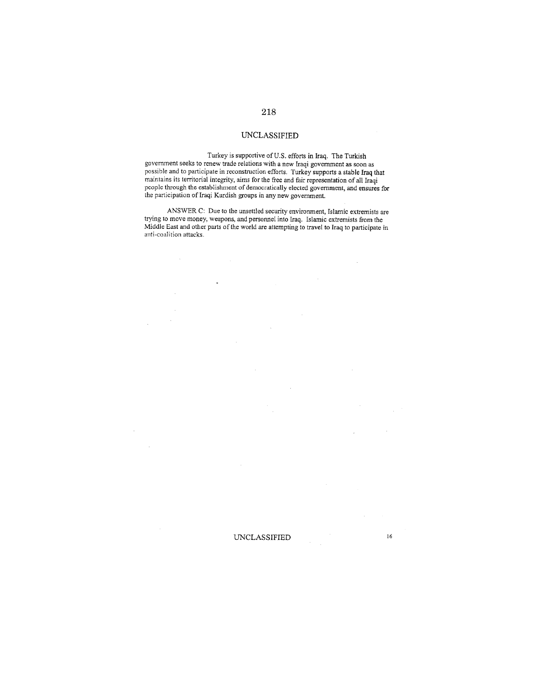Turkey is supportive of U.S. efforts in Iraq. The Turkish government seeks to renew trade relations with a new Iraqi government as soon as possible and to participate in reconstruction efforts. Turkey supports a stable fraq that maintains its territorial integrity, aims for the free and fair representation of all Iraqi<br>people through the establishment of democratically elected government, and ensures for the participation of Iraqi Kurdish groups in any new government.

ANSWER C: Due to the unsettled security environment, Islamic extremists are trying to move money, weapons, and personnel into Iraq. Islamic extremists from the Middle East and other parts of the world are attempting to travel to Iraq to participate in anti-coalition attacks.

 $\bar{\lambda}$ 

 $16\,$ 

 $\mathcal{L}_{\mathrm{c}}$ 

#### **UNCLASSIFIED**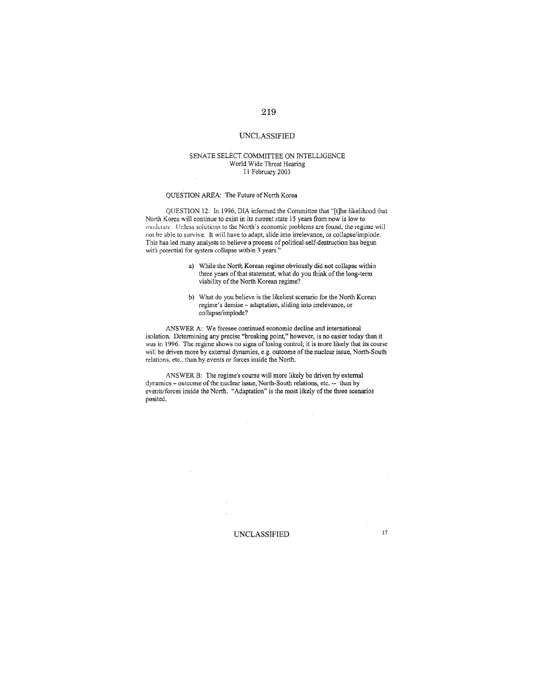#### SENATE SELECT COMMITTEE ON INTELLIGENCE World Wide Threat Hearing 11 February 2003

#### OUESTION AREA: The Future of North Korea

QUESTION 12: In 1996, DIA informed the Committee that "[t]he likelihood that North Korea will continue to exist in its current state 15 years from now is low to moderate. Unless solutions to the North's economic problems are found, the regime will not be able to survive. It will have to adapt, slide into irrelevance, or collapse/implode. This has led many analysts to believe a process of political self-destruction has begun with potential for system collapse within 3 years."

- a) While the North Korean regime obviously did not collapse within three years of that statement, what do you think of the long-term viability of the North Korean regime?
- b) What do you believe is the likeliest scenario for the North Korean regime's demise - adaptation, sliding into irrelevance, or collapse/implode?

 $\bar{z}$ 

ANSWER A: We foresee continued economic decline and international isolation. Determining any precise "breaking point," however, is no easier today than it was in 1996. The regime shows no signs of losing control; it is more likely that its course will be driven more by external dynamics, e.g. outcome of the nuclear issue, North-South relations, etc., than by events or forces inside the North.

ANSWER B: The regime's course will more likely be driven by external dynamics – outcome of the nuclear issue, North-South relations, etc. -- than by events/forces inside the North. "Adaptation" is the most likely of the three scenarios posited.

#### **UNCLASSIFIED**

 $17\,$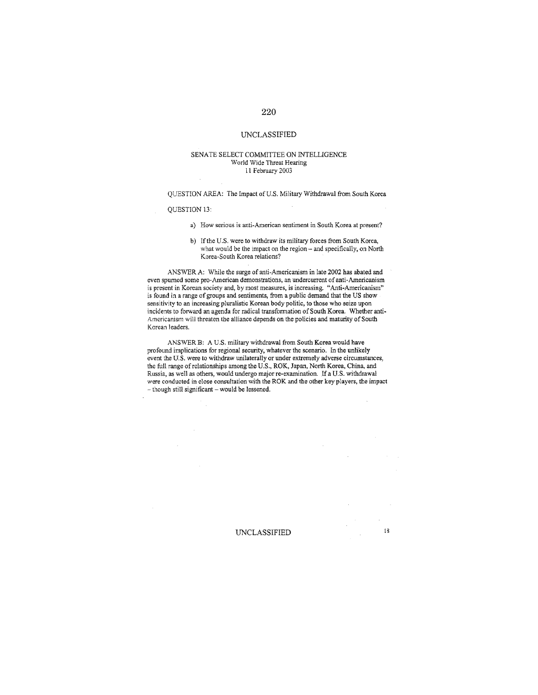#### **UNCLASSIFIED**

#### SENATE SELECT COMMITTEE ON INTELLIGENCE World Wide Threat Hearing 11 February 2003

QUESTION AREA: The Impact of U.S. Military Withdrawal from South Korea

#### **OUESTION 13:**

- a) How serious is anti-American sentiment in South Korea at present?
- b) If the U.S. were to withdraw its military forces from South Korea, what would be the impact on the region - and specifically, on North Korea-South Korea relations?

ANSWER A: While the surge of anti-Americanism in late 2002 has abated and even spurned some pro-American demonstrations, an undercurrent of anti-Americanism is present in Korean society and, by most measures, is increasing. "Anti-Americanism" is found in a range of groups and sentiments, from a public demand that the US show sensitivity to an increasing pluralistic Korean body politic, to those who seize upon incidents to forward an agenda for radical transformation of South Korea. Whether anti-Americanism will threaten the alliance depends on the policies and maturity of South Korean leaders.

ANSWER B: A U.S. military withdrawal from South Korea would have profound implications for regional security, whatever the scenario. In the unlikely event the U.S. were to withdraw unilaterally or under extremely adverse circumstances, the full range of relationships among the U.S., ROK, Japan, North Korea, China, and Russia, as well as others, would undergo major re-examination. If a U.S. withdrawal were conducted in close consultation with the ROK and the other key players, the impact - though still significant - would be lessened.

 $\mathcal{L}^{\mathcal{L}}$ 

 $\lambda$ 

#### **UNCLASSIFIED**

 $18\,$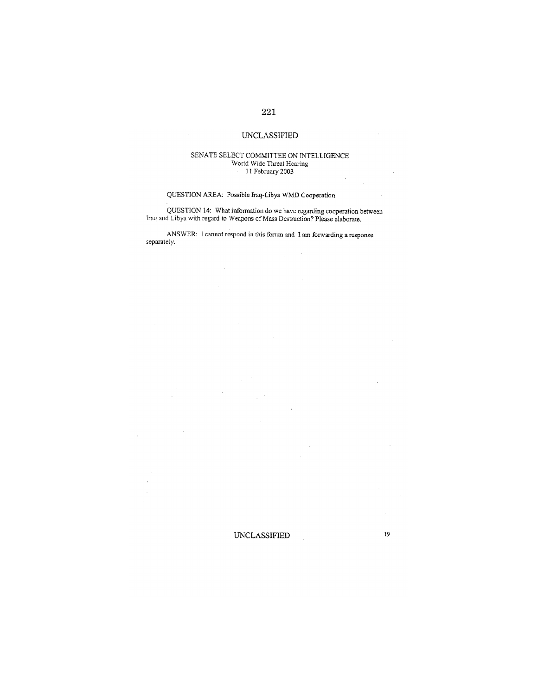## **UNCLASSIFIED**

# SENATE SELECT COMMITTEE ON INTELLIGENCE World Wide Threat Hearing<br>11 February 2003

 $\mathcal{L}_{\mathcal{A}}$ 

 $\mathcal{L}_{\rm{in}}$ 

## QUESTION AREA: Possible Iraq-Libya WMD Cooperation

QUESTION 14: What information do we have regarding cooperation between<br>Iraq and Libya with regard to Weapons of Mass Destruction? Please elaborate.

ANSWER: I cannot respond in this forum and I am forwarding a response separately.

 $\mathcal{L}_{\mathcal{A}}$ 

**UNCLASSIFIED** 19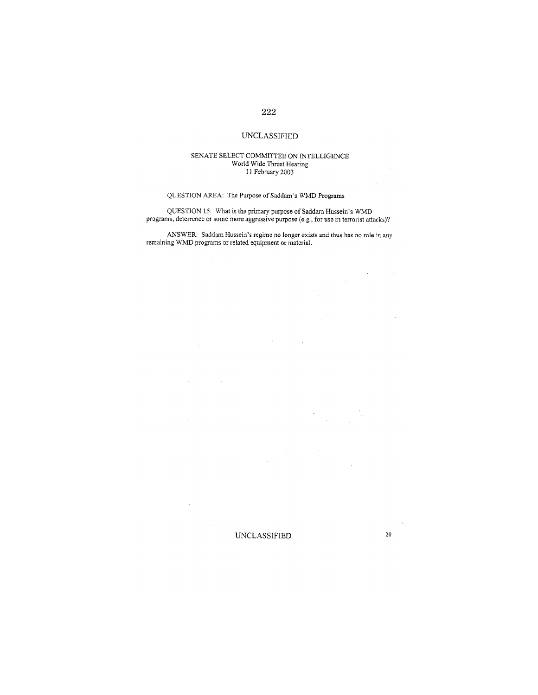## $222\,$

## **UNCLASSIFIED**

#### SENATE SELECT COMMITTEE ON INTELLIGENCE World Wide Threat Hearing  $\sim$ 11 February 2003

## QUESTION AREA: The Purpose of Saddam's WMD Programs

 $\bar{\beta}$ 

 $\sim$ 

 $\bar{\beta}$ 

 $\ddot{\phantom{a}}$ 

QUESTION 15: What is the primary purpose of Saddam Hussein's WMD programs, deterrence or some more aggressive purpose (e.g., for use in terrorist attacks)?

ANSWER: Saddam Hussein's regime no longer exists and thus has no role in any remaining WMD programs or related equipment or material.

 $\mathcal{L}^{(1,2)}$ 

**UNCLASSIFIED** 

20

v.

 $\sim$ 

 $\mathcal{A}$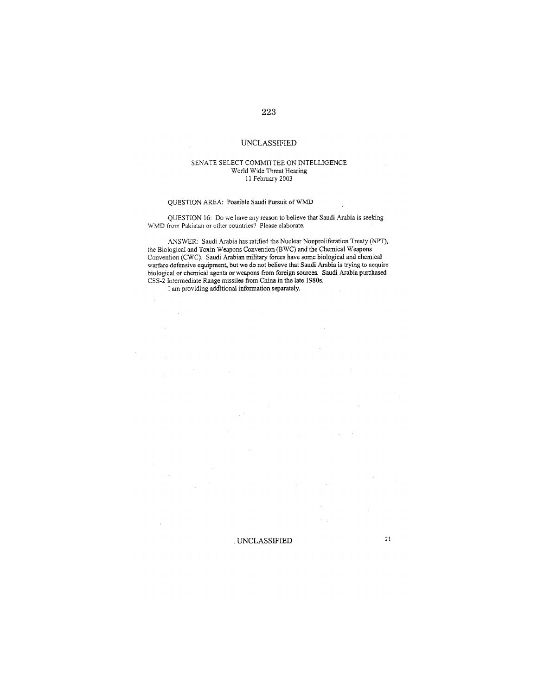#### SENATE SELECT COMMITTEE ON INTELLIGENCE World Wide Threat Hearing 11 February 2003

#### QUESTION AREA: Possible Saudi Pursuit of WMD

QUESTION 16: Do we have any reason to believe that Saudi Arabia is seeking WMD from Pakistan or other countries? Please elaborate.

ANSWER: Saudi Arabia has ratified the Nuclear Nonproliferation Treaty (NPT), the Biological and Toxin Weapons Convention (BWC) and the Chemical Weapons<br>Convention (CWC). Saudi Arabian military forces have some biological and chemical warfare defensive equipment, but we do not believe that Saudi Arabia is trying to acquire<br>biological or chemical agents or weapons from foreign sources. Saudi Arabia purchased CSS-2 Intermediate Range missiles from China in the late 1980s.

**UNCLASSIFIED** 

I am providing additional information separately.

 $\bar{z}$